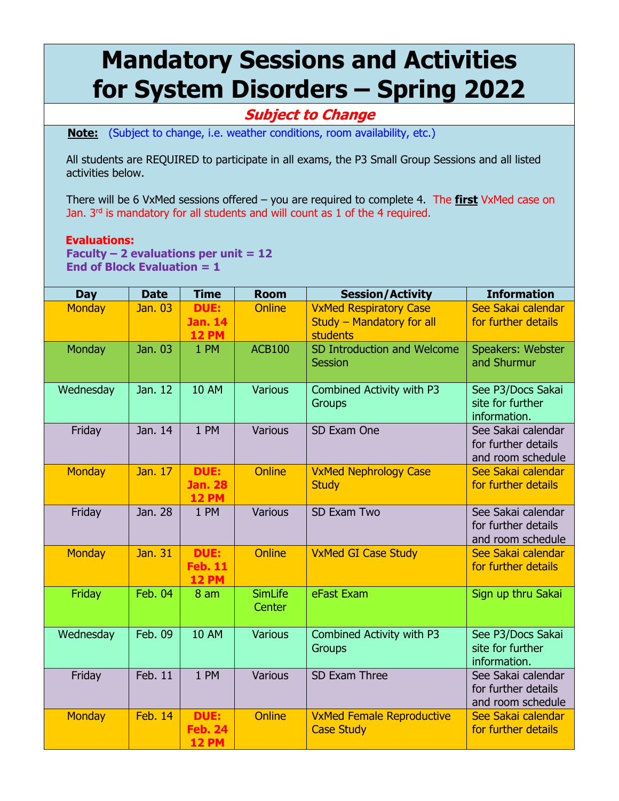## **Mandatory Sessions and Activities for System Disorders – Spring 2022**

## **Subject to Change**

**Note:** (Subject to change, i.e. weather conditions, room availability, etc.)

All students are REQUIRED to participate in all exams, the P3 Small Group Sessions and all listed activities below.

There will be 6 VxMed sessions offered – you are required to complete 4. The **first** VxMed case on Jan. 3<sup>rd</sup> is mandatory for all students and will count as 1 of the 4 required.

## **Evaluations:**

**Faculty – 2 evaluations per unit = 12 End of Block Evaluation = 1** 

| <b>Day</b>    | <b>Date</b>    | <b>Time</b>                                   | <b>Room</b>              | <b>Session/Activity</b>                                                       | <b>Information</b>                                             |
|---------------|----------------|-----------------------------------------------|--------------------------|-------------------------------------------------------------------------------|----------------------------------------------------------------|
| <b>Monday</b> | Jan. 03        | <b>DUE:</b><br><b>Jan. 14</b><br><b>12 PM</b> | <b>Online</b>            | <b>VxMed Respiratory Case</b><br>Study - Mandatory for all<br><b>students</b> | See Sakai calendar<br>for further details                      |
| Monday        | Jan. 03        | 1 PM                                          | <b>ACB100</b>            | SD Introduction and Welcome<br><b>Session</b>                                 | Speakers: Webster<br>and Shurmur                               |
| Wednesday     | Jan. 12        | <b>10 AM</b>                                  | <b>Various</b>           | Combined Activity with P3<br><b>Groups</b>                                    | See P3/Docs Sakai<br>site for further<br>information.          |
| Friday        | Jan. 14        | 1 PM                                          | Various                  | SD Exam One                                                                   | See Sakai calendar<br>for further details<br>and room schedule |
| <b>Monday</b> | Jan. 17        | <b>DUE:</b><br><b>Jan. 28</b><br><b>12 PM</b> | Online                   | <b>VxMed Nephrology Case</b><br><b>Study</b>                                  | See Sakai calendar<br>for further details                      |
| Friday        | Jan. 28        | 1 PM                                          | Various                  | SD Exam Two                                                                   | See Sakai calendar<br>for further details<br>and room schedule |
| <b>Monday</b> | Jan. 31        | <b>DUE:</b><br><b>Feb. 11</b><br><b>12 PM</b> | Online                   | <b>VxMed GI Case Study</b>                                                    | See Sakai calendar<br>for further details                      |
| Friday        | <b>Feb. 04</b> | 8 <sub>am</sub>                               | <b>SimLife</b><br>Center | eFast Exam                                                                    | Sign up thru Sakai                                             |
| Wednesday     | Feb. 09        | <b>10 AM</b>                                  | <b>Various</b>           | Combined Activity with P3<br><b>Groups</b>                                    | See P3/Docs Sakai<br>site for further<br>information.          |
| Friday        | Feb. 11        | 1 PM                                          | Various                  | SD Exam Three                                                                 | See Sakai calendar<br>for further details<br>and room schedule |
| <b>Monday</b> | <b>Feb. 14</b> | <b>DUE:</b><br><b>Feb. 24</b><br><b>12 PM</b> | <b>Online</b>            | <b>VxMed Female Reproductive</b><br><b>Case Study</b>                         | See Sakai calendar<br>for further details                      |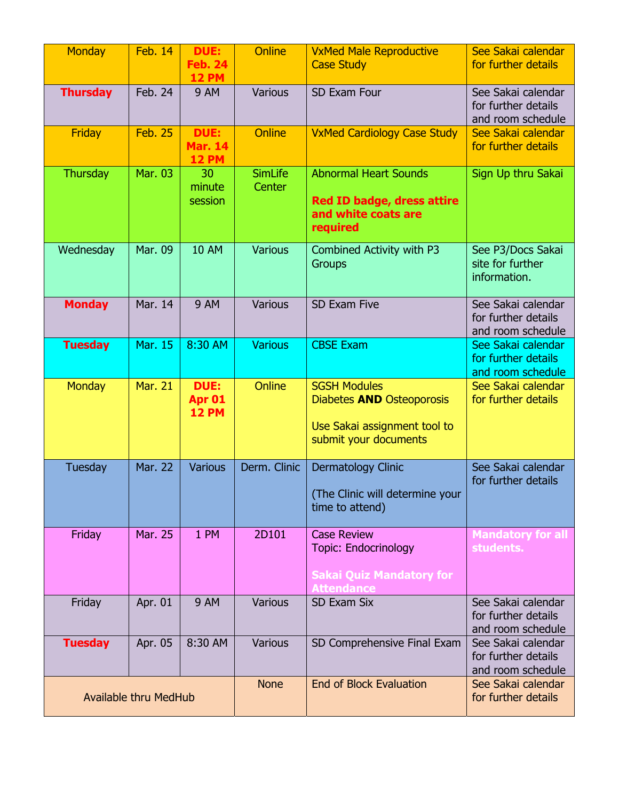| <b>Monday</b>                | <b>Feb. 14</b> | DUE:<br><b>Feb. 24</b><br><b>12 PM</b>        | <b>Online</b>                  | <b>VxMed Male Reproductive</b><br><b>Case Study</b>                                                              | See Sakai calendar<br>for further details                      |
|------------------------------|----------------|-----------------------------------------------|--------------------------------|------------------------------------------------------------------------------------------------------------------|----------------------------------------------------------------|
| <b>Thursday</b>              | Feb. 24        | <b>9 AM</b>                                   | Various                        | SD Exam Four                                                                                                     | See Sakai calendar<br>for further details<br>and room schedule |
| <b>Friday</b>                | <b>Feb. 25</b> | <b>DUE:</b><br><b>Mar. 14</b><br><b>12 PM</b> | <b>Online</b>                  | <b>VxMed Cardiology Case Study</b>                                                                               | See Sakai calendar<br>for further details                      |
| Thursday                     | Mar. 03        | 30<br>minute<br>session                       | <b>SimLife</b><br>Center       | <b>Abnormal Heart Sounds</b><br><b>Red ID badge, dress attire</b><br>and white coats are<br>required             | Sign Up thru Sakai                                             |
| Wednesday                    | Mar. 09        | <b>10 AM</b>                                  | <b>Various</b>                 | Combined Activity with P3<br><b>Groups</b>                                                                       | See P3/Docs Sakai<br>site for further<br>information.          |
| <b>Monday</b>                | Mar. 14        | <b>9 AM</b>                                   | Various                        | SD Exam Five                                                                                                     | See Sakai calendar<br>for further details<br>and room schedule |
| <b>Tuesday</b>               | Mar. 15        | 8:30 AM                                       | <b>Various</b>                 | <b>CBSE Exam</b>                                                                                                 | See Sakai calendar<br>for further details<br>and room schedule |
| <b>Monday</b>                | <b>Mar. 21</b> | <b>DUE:</b><br>Apr 01<br><b>12 PM</b>         | <b>Online</b>                  | <b>SGSH Modules</b><br>Diabetes <b>AND</b> Osteoporosis<br>Use Sakai assignment tool to<br>submit your documents | See Sakai calendar<br>for further details                      |
| Tuesday                      | <b>Mar. 22</b> | <b>Various</b>                                | Derm. Clinic                   | Dermatology Clinic<br>(The Clinic will determine your<br>time to attend)                                         | See Sakai calendar<br>for further details                      |
| Friday                       | Mar. 25        | 1 PM                                          | 2D101                          | <b>Case Review</b><br><b>Topic: Endocrinology</b><br><b>Sakai Quiz Mandatory for</b>                             | <b>Mandatory for all</b><br>students.                          |
| Friday                       | Apr. 01        | <b>9 AM</b>                                   | Various                        | <b>SD Exam Six</b>                                                                                               | See Sakai calendar<br>for further details<br>and room schedule |
| <b>Tuesday</b>               | Apr. 05        | 8:30 AM                                       | Various                        | SD Comprehensive Final Exam                                                                                      | See Sakai calendar<br>for further details<br>and room schedule |
| <b>Available thru MedHub</b> |                | <b>None</b>                                   | <b>End of Block Evaluation</b> | See Sakai calendar<br>for further details                                                                        |                                                                |